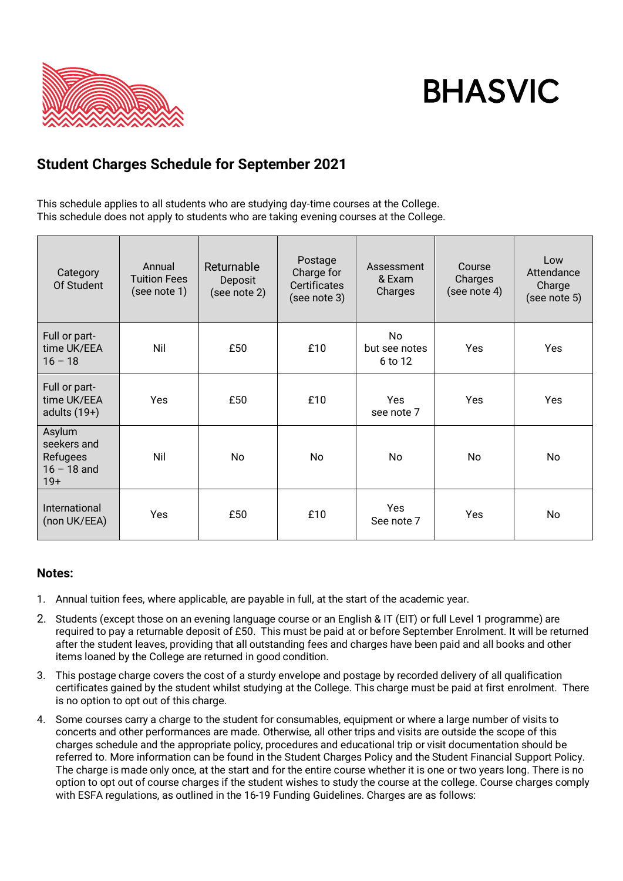

# **BHASVIC**

## **Student Charges Schedule for September 2021**

This schedule applies to all students who are studying day-time courses at the College. This schedule does not apply to students who are taking evening courses at the College.

| Category<br>Of Student                                      | Annual<br><b>Tuition Fees</b><br>(see note 1) | Returnable<br>Deposit<br>(see note 2) | Postage<br>Charge for<br><b>Certificates</b><br>(see note 3) | Assessment<br>& Exam<br>Charges | Course<br>Charges<br>(see note 4) | Low<br>Attendance<br>Charge<br>(see note 5) |
|-------------------------------------------------------------|-----------------------------------------------|---------------------------------------|--------------------------------------------------------------|---------------------------------|-----------------------------------|---------------------------------------------|
| Full or part-<br>time UK/EEA<br>$16 - 18$                   | Nil                                           | £50                                   | £10                                                          | No<br>but see notes<br>6 to 12  | <b>Yes</b>                        | Yes                                         |
| Full or part-<br>time UK/EEA<br>adults $(19+)$              | <b>Yes</b>                                    | £50                                   | £10                                                          | <b>Yes</b><br>see note 7        | <b>Yes</b>                        | Yes                                         |
| Asylum<br>seekers and<br>Refugees<br>$16 - 18$ and<br>$19+$ | Nil                                           | <b>No</b>                             | <b>No</b>                                                    | <b>No</b>                       | <b>No</b>                         | No.                                         |
| International<br>(non UK/EEA)                               | <b>Yes</b>                                    | £50                                   | £10                                                          | <b>Yes</b><br>See note 7        | Yes                               | No                                          |

### **Notes:**

- 1. Annual tuition fees, where applicable, are payable in full, at the start of the academic year.
- 2. Students (except those on an evening language course or an English & IT (EIT) or full Level 1 programme) are required to pay a returnable deposit of £50. This must be paid at or before September Enrolment. It will be returned after the student leaves, providing that all outstanding fees and charges have been paid and all books and other items loaned by the College are returned in good condition.
- 3. This postage charge covers the cost of a sturdy envelope and postage by recorded delivery of all qualification certificates gained by the student whilst studying at the College. This charge must be paid at first enrolment. There is no option to opt out of this charge.
- 4. Some courses carry a charge to the student for consumables, equipment or where a large number of visits to concerts and other performances are made. Otherwise, all other trips and visits are outside the scope of this charges schedule and the appropriate policy, procedures and educational trip or visit documentation should be referred to. More information can be found in the Student Charges Policy and the Student Financial Support Policy. The charge is made only once, at the start and for the entire course whether it is one or two years long. There is no option to opt out of course charges if the student wishes to study the course at the college. Course charges comply with ESFA regulations, as outlined in the 16-19 Funding Guidelines. Charges are as follows: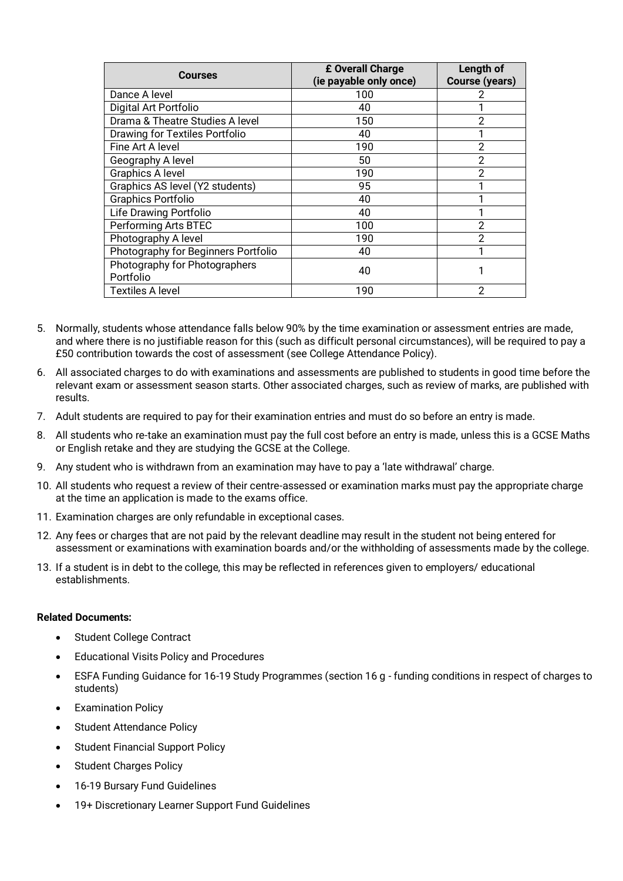| Courses                                    | £ Overall Charge<br>(ie payable only once) | Length of<br><b>Course (years)</b> |
|--------------------------------------------|--------------------------------------------|------------------------------------|
| Dance A level                              | 100                                        |                                    |
| Digital Art Portfolio                      | 40                                         |                                    |
| Drama & Theatre Studies A level            | 150                                        | 2                                  |
| <b>Drawing for Textiles Portfolio</b>      | 40                                         |                                    |
| Fine Art A level                           | 190                                        | 2                                  |
| Geography A level                          | 50                                         | $\overline{2}$                     |
| Graphics A level                           | 190                                        | $\overline{2}$                     |
| Graphics AS level (Y2 students)            | 95                                         |                                    |
| Graphics Portfolio                         | 40                                         |                                    |
| Life Drawing Portfolio                     | 40                                         |                                    |
| Performing Arts BTEC                       | 100                                        | 2                                  |
| Photography A level                        | 190                                        | 2                                  |
| Photography for Beginners Portfolio        | 40                                         |                                    |
| Photography for Photographers<br>Portfolio | 40                                         |                                    |
| <b>Textiles A level</b>                    | 190                                        | $\overline{2}$                     |

- 5. Normally, students whose attendance falls below 90% by the time examination or assessment entries are made, and where there is no justifiable reason for this (such as difficult personal circumstances), will be required to pay a £50 contribution towards the cost of assessment (see College Attendance Policy).
- 6. All associated charges to do with examinations and assessments are published to students in good time before the relevant exam or assessment season starts. Other associated charges, such as review of marks, are published with results.
- 7. Adult students are required to pay for their examination entries and must do so before an entry is made.
- 8. All students who re-take an examination must pay the full cost before an entry is made, unless this is a GCSE Maths or English retake and they are studying the GCSE at the College.
- 9. Any student who is withdrawn from an examination may have to pay a 'late withdrawal' charge.
- 10. All students who request a review of their centre-assessed or examination marks must pay the appropriate charge at the time an application is made to the exams office.
- 11. Examination charges are only refundable in exceptional cases.
- 12. Any fees or charges that are not paid by the relevant deadline may result in the student not being entered for assessment or examinations with examination boards and/or the withholding of assessments made by the college.
- 13. If a student is in debt to the college, this may be reflected in references given to employers/ educational establishments.

#### **Related Documents:**

- Student College Contract
- Educational Visits Policy and Procedures
- ESFA Funding Guidance for 16-19 Study Programmes (section 16 g funding conditions in respect of charges to students)
- **Examination Policy**
- Student Attendance Policy
- Student Financial Support Policy
- **Student Charges Policy**
- 16-19 Bursary Fund Guidelines
- 19+ Discretionary Learner Support Fund Guidelines